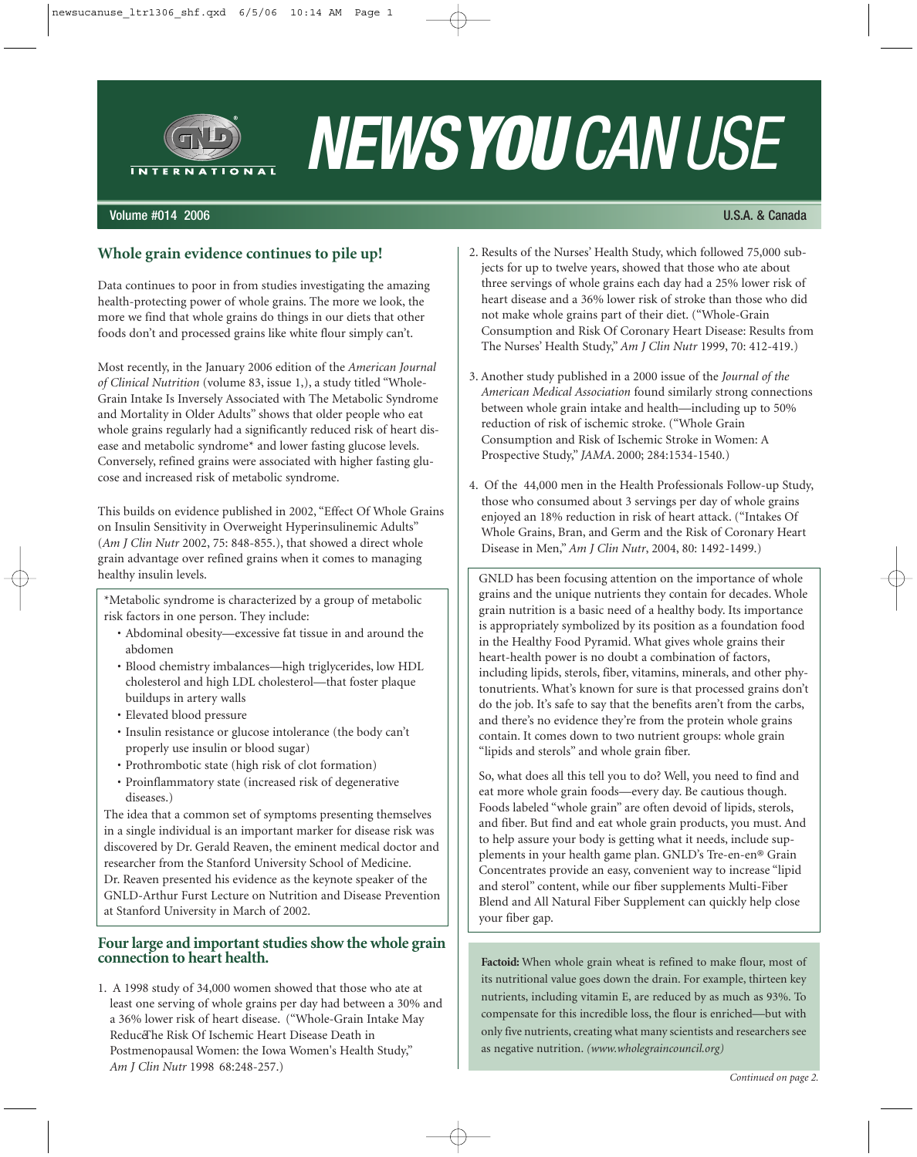

# *NEWSYOUCANUSE*

#### Volume #014 2006 U.S.A. & Canada

#### **Whole grain evidence continues to pile up!**

Data continues to poor in from studies investigating the amazing health-protecting power of whole grains. The more we look, the more we find that whole grains do things in our diets that other foods don't and processed grains like white flour simply can't.

Most recently, in the January 2006 edition of the *American Journal of Clinical Nutrition* (volume 83, issue 1,), a study titled "Whole-Grain Intake Is Inversely Associated with The Metabolic Syndrome and Mortality in Older Adults" shows that older people who eat whole grains regularly had a significantly reduced risk of heart disease and metabolic syndrome\* and lower fasting glucose levels. Conversely, refined grains were associated with higher fasting glucose and increased risk of metabolic syndrome.

This builds on evidence published in 2002, "Effect Of Whole Grains on Insulin Sensitivity in Overweight Hyperinsulinemic Adults" (*Am J Clin Nutr* 2002, 75: 848-855.), that showed a direct whole grain advantage over refined grains when it comes to managing healthy insulin levels.

\*Metabolic syndrome is characterized by a group of metabolic risk factors in one person. They include:

- Abdominal obesity—excessive fat tissue in and around the abdomen
- Blood chemistry imbalances—high triglycerides, low HDL cholesterol and high LDL cholesterol—that foster plaque buildups in artery walls
- Elevated blood pressure
- Insulin resistance or glucose intolerance (the body can't properly use insulin or blood sugar)
- Prothrombotic state (high risk of clot formation)
- Proinflammatory state (increased risk of degenerative diseases.)

The idea that a common set of symptoms presenting themselves in a single individual is an important marker for disease risk was discovered by Dr. Gerald Reaven, the eminent medical doctor and researcher from the Stanford University School of Medicine. Dr. Reaven presented his evidence as the keynote speaker of the GNLD-Arthur Furst Lecture on Nutrition and Disease Prevention at Stanford University in March of 2002.

#### **Four large and important studies show the whole grain connection to heart health.**

1. A 1998 study of 34,000 women showed that those who ate at least one serving of whole grains per day had between a 30% and a 36% lower risk of heart disease. ("Whole-Grain Intake May ReduceThe Risk Of Ischemic Heart Disease Death in Postmenopausal Women: the Iowa Women's Health Study," *Am J Clin Nutr* 1998 68:248-257.)

- 2. Results of the Nurses' Health Study, which followed 75,000 subjects for up to twelve years, showed that those who ate about three servings of whole grains each day had a 25% lower risk of heart disease and a 36% lower risk of stroke than those who did not make whole grains part of their diet. ("Whole-Grain Consumption and Risk Of Coronary Heart Disease: Results from The Nurses' Health Study," *Am J Clin Nutr* 1999, 70: 412-419.)
- 3. Another study published in a 2000 issue of the *Journal of the American Medical Association* found similarly strong connections between whole grain intake and health—including up to 50% reduction of risk of ischemic stroke. ("Whole Grain Consumption and Risk of Ischemic Stroke in Women: A Prospective Study," *JAMA*. 2000; 284:1534-1540.)
- 4. Of the 44,000 men in the Health Professionals Follow-up Study, those who consumed about 3 servings per day of whole grains enjoyed an 18% reduction in risk of heart attack. ("Intakes Of Whole Grains, Bran, and Germ and the Risk of Coronary Heart Disease in Men," *Am J Clin Nutr*, 2004, 80: 1492-1499.)

GNLD has been focusing attention on the importance of whole grains and the unique nutrients they contain for decades. Whole grain nutrition is a basic need of a healthy body. Its importance is appropriately symbolized by its position as a foundation food in the Healthy Food Pyramid. What gives whole grains their heart-health power is no doubt a combination of factors, including lipids, sterols, fiber, vitamins, minerals, and other phytonutrients. What's known for sure is that processed grains don't do the job. It's safe to say that the benefits aren't from the carbs, and there's no evidence they're from the protein whole grains contain. It comes down to two nutrient groups: whole grain "lipids and sterols" and whole grain fiber.

So, what does all this tell you to do? Well, you need to find and eat more whole grain foods—every day. Be cautious though. Foods labeled "whole grain" are often devoid of lipids, sterols, and fiber. But find and eat whole grain products, you must. And to help assure your body is getting what it needs, include supplements in your health game plan. GNLD's Tre-en-en® Grain Concentrates provide an easy, convenient way to increase "lipid and sterol" content, while our fiber supplements Multi-Fiber Blend and All Natural Fiber Supplement can quickly help close your fiber gap.

Factoid: When whole grain wheat is refined to make flour, most of its nutritional value goes down the drain. For example, thirteen key nutrients, including vitamin E, are reduced by as much as 93%. To compensate for this incredible loss, the flour is enriched—but with only five nutrients, creating what many scientists and researchers see as negative nutrition. *(www.wholegraincouncil.org)*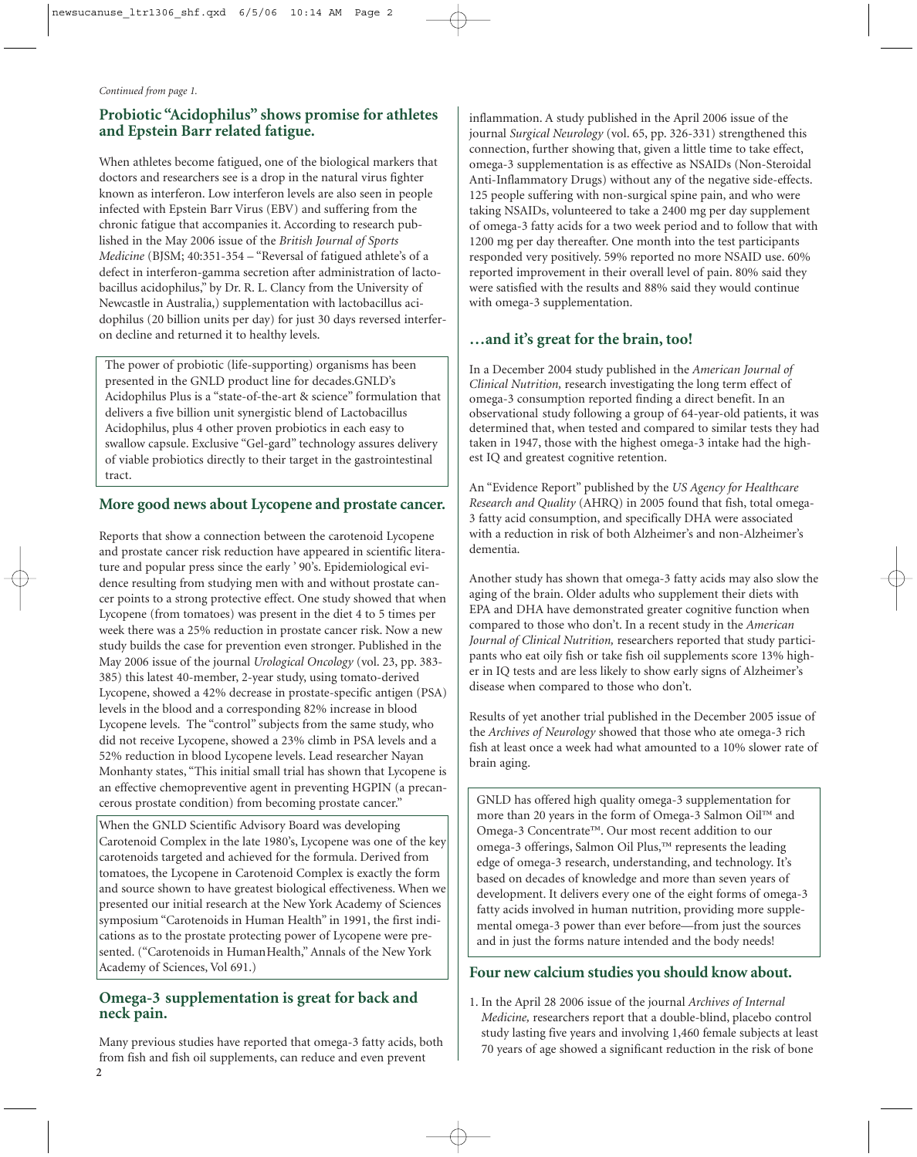#### **Probiotic "Acidophilus" shows promise for athletes and Epstein Barr related fatigue.**

When athletes become fatigued, one of the biological markers that doctors and researchers see is a drop in the natural virus fighter known as interferon. Low interferon levels are also seen in people infected with Epstein Barr Virus (EBV) and suffering from the chronic fatigue that accompanies it. According to research published in the May 2006 issue of the *British Journal of Sports Medicine* (BJSM; 40:351-354 – "Reversal of fatigued athlete's of a defect in interferon-gamma secretion after administration of lactobacillus acidophilus," by Dr. R. L. Clancy from the University of Newcastle in Australia,) supplementation with lactobacillus acidophilus (20 billion units per day) for just 30 days reversed interferon decline and returned it to healthy levels.

The power of probiotic (life-supporting) organisms has been presented in the GNLD product line for decades.GNLD's Acidophilus Plus is a "state-of-the-art & science" formulation that delivers a five billion unit synergistic blend of Lactobacillus Acidophilus, plus 4 other proven probiotics in each easy to swallow capsule. Exclusive "Gel-gard" technology assures delivery of viable probiotics directly to their target in the gastrointestinal tract.

#### **More good news about Lycopene and prostate cancer.**

Reports that show a connection between the carotenoid Lycopene and prostate cancer risk reduction have appeared in scientific literature and popular press since the early ' 90's. Epidemiological evidence resulting from studying men with and without prostate cancer points to a strong protective effect. One study showed that when Lycopene (from tomatoes) was present in the diet 4 to 5 times per week there was a 25% reduction in prostate cancer risk. Now a new study builds the case for prevention even stronger. Published in the May 2006 issue of the journal *Urological Oncology* (vol. 23, pp. 383- 385) this latest 40-member, 2-year study, using tomato-derived Lycopene, showed a 42% decrease in prostate-specific antigen (PSA) levels in the blood and a corresponding 82% increase in blood Lycopene levels. The "control" subjects from the same study, who did not receive Lycopene, showed a 23% climb in PSA levels and a 52% reduction in blood Lycopene levels. Lead researcher Nayan Monhanty states, "This initial small trial has shown that Lycopene is an effective chemopreventive agent in preventing HGPIN (a precancerous prostate condition) from becoming prostate cancer."

When the GNLD Scientific Advisory Board was developing Carotenoid Complex in the late 1980's, Lycopene was one of the key carotenoids targeted and achieved for the formula. Derived from tomatoes, the Lycopene in Carotenoid Complex is exactly the form and source shown to have greatest biological effectiveness. When we presented our initial research at the New York Academy of Sciences symposium "Carotenoids in Human Health" in 1991, the first indications as to the prostate protecting power of Lycopene were presented. ("Carotenoids in HumanHealth," Annals of the New York Academy of Sciences, Vol 691.)

#### **Omega-3 supplementation is great for back and neck pain.**

Many previous studies have reported that omega-3 fatty acids, both from fish and fish oil supplements, can reduce and even prevent

inflammation. A study published in the April 2006 issue of the journal *Surgical Neurology* (vol. 65, pp. 326-331) strengthened this connection, further showing that, given a little time to take effect, omega-3 supplementation is as effective as NSAIDs (Non-Steroidal Anti-Inflammatory Drugs) without any of the negative side-effects. 125 people suffering with non-surgical spine pain, and who were taking NSAIDs, volunteered to take a 2400 mg per day supplement of omega-3 fatty acids for a two week period and to follow that with 1200 mg per day thereafter. One month into the test participants responded very positively. 59% reported no more NSAID use. 60% reported improvement in their overall level of pain. 80% said they were satisfied with the results and 88% said they would continue with omega-3 supplementation.

#### **…and it's great for the brain, too!**

In a December 2004 study published in the *American Journal of Clinical Nutrition,* research investigating the long term effect of omega-3 consumption reported finding a direct benefit. In an observational study following a group of 64-year-old patients, it was determined that, when tested and compared to similar tests they had taken in 1947, those with the highest omega-3 intake had the highest IQ and greatest cognitive retention.

An "Evidence Report" published by the *US Agency for Healthcare Research and Quality* (AHRQ) in 2005 found that fish, total omega-3 fatty acid consumption, and specifically DHA were associated with a reduction in risk of both Alzheimer's and non-Alzheimer's dementia.

Another study has shown that omega-3 fatty acids may also slow the aging of the brain. Older adults who supplement their diets with EPA and DHA have demonstrated greater cognitive function when compared to those who don't. In a recent study in the *American Journal of Clinical Nutrition,* researchers reported that study participants who eat oily fish or take fish oil supplements score 13% higher in IQ tests and are less likely to show early signs of Alzheimer's disease when compared to those who don't.

Results of yet another trial published in the December 2005 issue of the *Archives of Neurology* showed that those who ate omega-3 rich fish at least once a week had what amounted to a 10% slower rate of brain aging.

GNLD has offered high quality omega-3 supplementation for more than 20 years in the form of Omega-3 Salmon Oil™ and Omega-3 Concentrate™. Our most recent addition to our omega-3 offerings, Salmon Oil Plus,™ represents the leading edge of omega-3 research, understanding, and technology. It's based on decades of knowledge and more than seven years of development. It delivers every one of the eight forms of omega-3 fatty acids involved in human nutrition, providing more supplemental omega-3 power than ever before—from just the sources and in just the forms nature intended and the body needs!

#### **Four new calcium studies you should know about.**

1. In the April 28 2006 issue of the journal *Archives of Internal Medicine,* researchers report that a double-blind, placebo control study lasting five years and involving 1,460 female subjects at least 70 years of age showed a significant reduction in the risk of bone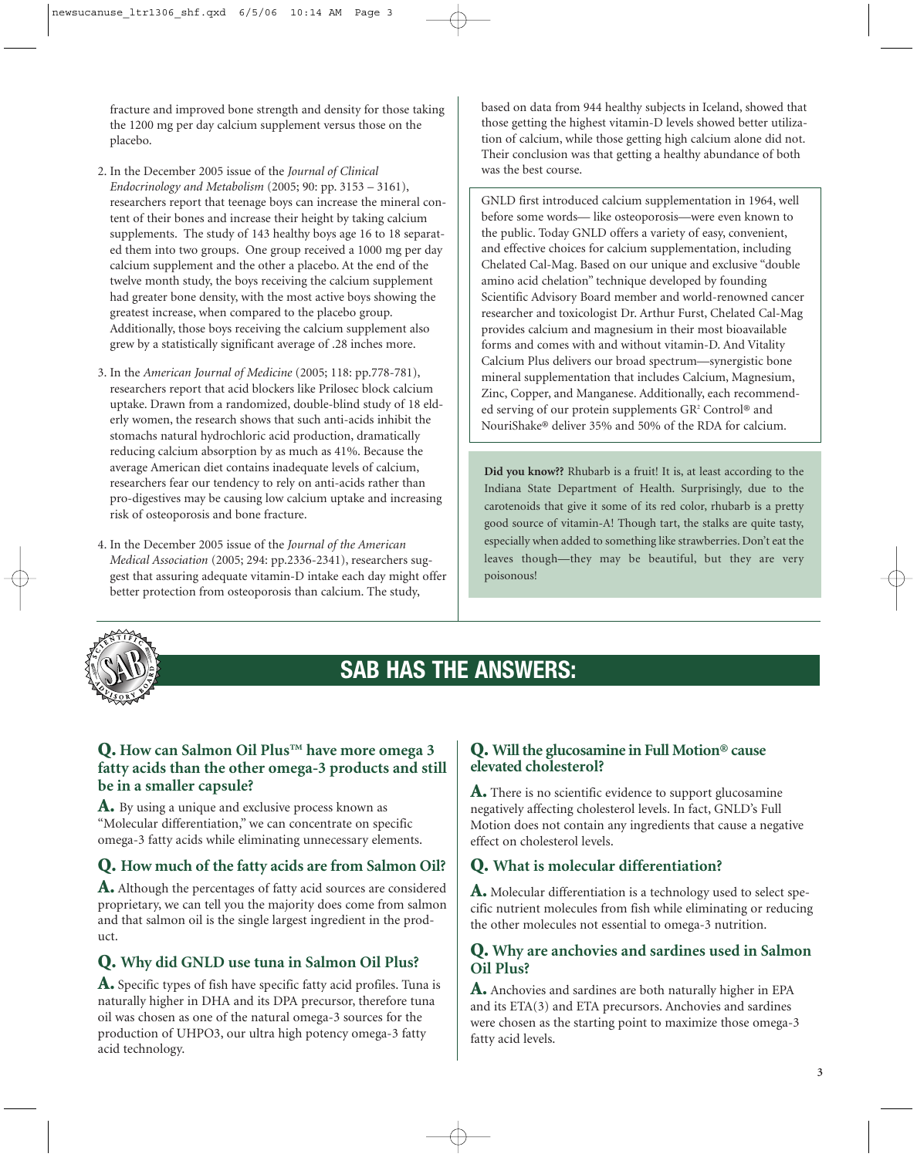fracture and improved bone strength and density for those taking the 1200 mg per day calcium supplement versus those on the placebo.

- 2. In the December 2005 issue of the *Journal of Clinical Endocrinology and Metabolism* (2005; 90: pp. 3153 – 3161), researchers report that teenage boys can increase the mineral content of their bones and increase their height by taking calcium supplements. The study of 143 healthy boys age 16 to 18 separated them into two groups. One group received a 1000 mg per day calcium supplement and the other a placebo. At the end of the twelve month study, the boys receiving the calcium supplement had greater bone density, with the most active boys showing the greatest increase, when compared to the placebo group. Additionally, those boys receiving the calcium supplement also grew by a statistically significant average of .28 inches more.
- 3. In the *American Journal of Medicine* (2005; 118: pp.778-781), researchers report that acid blockers like Prilosec block calcium uptake. Drawn from a randomized, double-blind study of 18 elderly women, the research shows that such anti-acids inhibit the stomachs natural hydrochloric acid production, dramatically reducing calcium absorption by as much as 41%. Because the average American diet contains inadequate levels of calcium, researchers fear our tendency to rely on anti-acids rather than pro-digestives may be causing low calcium uptake and increasing risk of osteoporosis and bone fracture.
- 4. In the December 2005 issue of the *Journal of the American Medical Association* (2005; 294: pp.2336-2341), researchers suggest that assuring adequate vitamin-D intake each day might offer better protection from osteoporosis than calcium. The study,

based on data from 944 healthy subjects in Iceland, showed that those getting the highest vitamin-D levels showed better utilization of calcium, while those getting high calcium alone did not. Their conclusion was that getting a healthy abundance of both was the best course.

GNLD first introduced calcium supplementation in 1964, well before some words— like osteoporosis—were even known to the public. Today GNLD offers a variety of easy, convenient, and effective choices for calcium supplementation, including Chelated Cal-Mag. Based on our unique and exclusive "double amino acid chelation" technique developed by founding Scientific Advisory Board member and world-renowned cancer researcher and toxicologist Dr. Arthur Furst, Chelated Cal-Mag provides calcium and magnesium in their most bioavailable forms and comes with and without vitamin-D. And Vitality Calcium Plus delivers our broad spectrum—synergistic bone mineral supplementation that includes Calcium, Magnesium, Zinc, Copper, and Manganese. Additionally, each recommended serving of our protein supplements GR2 Control® and NouriShake® deliver 35% and 50% of the RDA for calcium.

**Did you know??** Rhubarb is a fruit! It is, at least according to the Indiana State Department of Health. Surprisingly, due to the carotenoids that give it some of its red color, rhubarb is a pretty good source of vitamin-A! Though tart, the stalks are quite tasty, especially when added to something like strawberries. Don't eat the leaves though—they may be beautiful, but they are very poisonous!



## **SAB HAS THE ANSWERS:**

#### **Q. How can Salmon Oil Plus™ have more omega 3 fatty acids than the other omega-3 products and still be in a smaller capsule?**

**A.** By using a unique and exclusive process known as "Molecular differentiation," we can concentrate on specific omega-3 fatty acids while eliminating unnecessary elements.

#### **Q. How much of the fatty acids are from Salmon Oil?**

**A.** Although the percentages of fatty acid sources are considered proprietary, we can tell you the majority does come from salmon and that salmon oil is the single largest ingredient in the product.

### **Q. Why did GNLD use tuna in Salmon Oil Plus?**

**A.** Specific types of fish have specific fatty acid profiles. Tuna is naturally higher in DHA and its DPA precursor, therefore tuna oil was chosen as one of the natural omega-3 sources for the production of UHPO3, our ultra high potency omega-3 fatty acid technology.

#### **Q. Will the glucosamine in Full Motion® cause elevated cholesterol?**

**A.** There is no scientific evidence to support glucosamine negatively affecting cholesterol levels. In fact, GNLD's Full Motion does not contain any ingredients that cause a negative effect on cholesterol levels.

#### **Q. What is molecular differentiation?**

**A.** Molecular differentiation is a technology used to select specific nutrient molecules from fish while eliminating or reducing the other molecules not essential to omega-3 nutrition.

#### **Q. Why are anchovies and sardines used in Salmon Oil Plus?**

**A.** Anchovies and sardines are both naturally higher in EPA and its ETA(3) and ETA precursors. Anchovies and sardines were chosen as the starting point to maximize those omega-3 fatty acid levels.